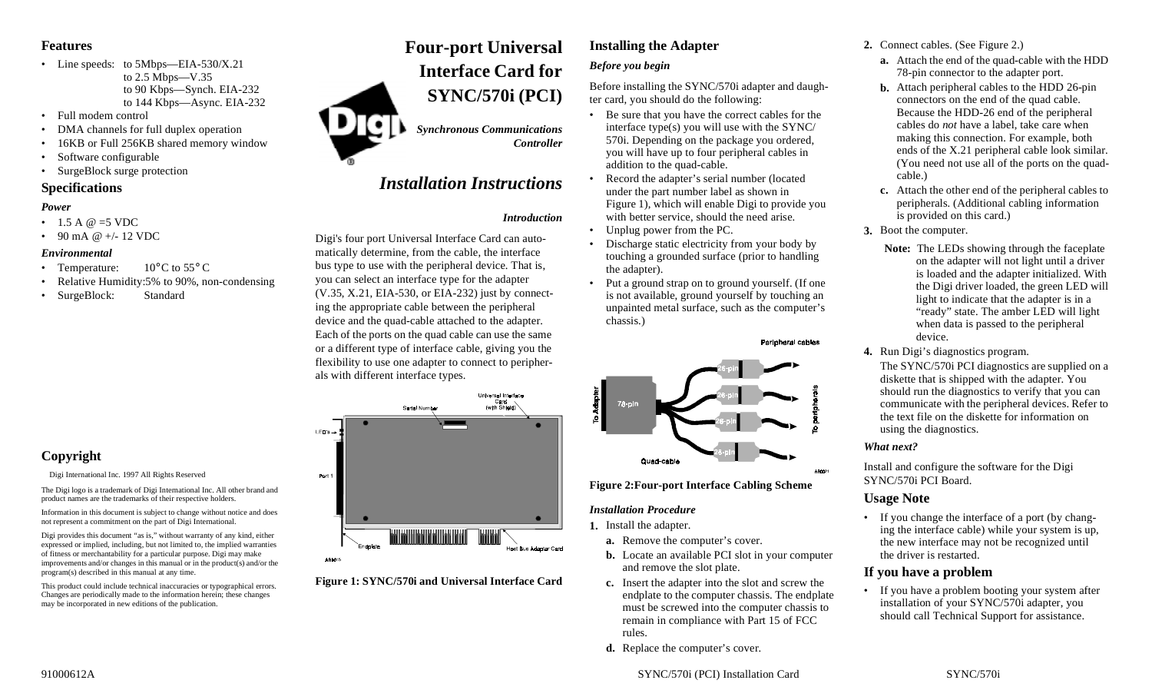## **Features**

- Line speeds: to 5Mbps—EIA-530/X.21 to 2.5 Mbps—V.35 to 90 Kbps—Synch. EIA-232 to 144 Kbps—Async. EIA-232
- Full modem control
- •DMA channels for full duplex operation
- •16KB or Full 256KB shared memory window
- •Software configurable
- •SurgeBlock surge protection

## **Specifications**

## *Power*

- 1.5 A @ =5 VDC
- 90 mA @ +/- 12 VDC

## *Environmental*

- Temperature:  $10^{\circ}$ C to 55 $^{\circ}$ C
- Relative Humidity:5% to 90%, non-condensing
- SurgeBlock: Standard

## **Copyright**

Digi International Inc. 1997 All Rights Reserved

The Digi logo is a trademark of Digi International Inc. All other brand and product names are the trademarks of their respective holders.

Information in this document is subject to change without notice and does not represent a commitment on the part of Digi International.

Digi provides this document "as is," without warranty of any kind, either expressed or implied, including, but not limited to, the implied warranties of fitness or merchantability for a particular purpose. Digi may make improvements and/or changes in this manual or in the product(s) and/or the program(s) described in this manual at any time.

This product could include technical inaccuracies or typographical errors. Changes are periodically made to the information herein; these changes may be incorporated in new editions of the publication.

# **Four-port Universal Interface Card forSYNC/570i (PCI)**

*Synchronous Communications Controller*

# *Installation Instructions*

## *Introduction*

Digi's four port Universal Interface Card can automatically determine, from the cable, the interface bus type to use with the peripheral device. That is, you can select an interface type for the adapter (V.35, X.21, EIA-530, or EIA-232) just by connecting the appropriate cable between the peripheral device and the quad-cable attached to the adapter. Each of the ports on the quad cable can use the same or a different type of interface cable, giving you the flexibility to use one adapter to connect to peripherals with different interface types.



**Figure 1: SYNC/570i and Universal Interface Card**

# **Installing the Adapter** *Before you begin*

Before installing the SYNC/570i adapter and daughter card, you should do the following:

- Be sure that you have the correct cables for the interface type(s) you will use with the SYNC/ 570i. Depending on the package you ordered, you will have up to four peripheral cables in addition to the quad-cable.
- Record the adapter's serial number (located under the part number label as shown in Figure 1), which will enable Digi to provide you with better service, should the need arise.
- •Unplug power from the PC.
- Discharge static electricity from your body by touching a grounded surface (prior to handling the adapter).
- Put a ground strap on to ground yourself. (If one is not available, ground yourself by touching an unpainted metal surface, such as the computer's chassis.)



**Figure 2:Four-port Interface Cabling Scheme**

## *Installation Procedure*

**1.** Install the adapter.

- **a.** Remove the computer's cover.
- **b.** Locate an available PCI slot in your computer and remove the slot plate.
- **c.** Insert the adapter into the slot and screw the endplate to the computer chassis. The endplate must be screwed into the computer chassis to remain in compliance with Part 15 of FCC rules.
- **d.** Replace the computer's cover.

## **2.** Connect cables. (See Figure 2.)

- **a.** Attach the end of the quad-cable with the HDD 78-pin connector to the adapter port.
- **b.** Attach peripheral cables to the HDD 26-pin connectors on the end of the quad cable. Because the HDD-26 end of the peripheral cables do *not* have a label, take care when making this connection. For example, both ends of the X.21 peripheral cable look similar. (You need not use all of the ports on the quadcable.)
- **c.** Attach the other end of the peripheral cables to peripherals. (Additional cabling information is provided on this card.)
- **3.** Boot the computer.
	- **Note:** The LEDs showing through the faceplate on the adapter will not light until a driver is loaded and the adapter initialized. With the Digi driver loaded, the green LED will light to indicate that the adapter is in a "ready" state. The amber LED will light when data is passed to the peripheral device.
- **4.** Run Digi's diagnostics program.

The SYNC/570i PCI diagnostics are supplied on a diskette that is shipped with the adapter. You should run the diagnostics to verify that you can communicate with the peripheral devices. Refer to the text file on the diskette for information on using the diagnostics.

## *What next?*

Install and configure the software for the Digi SYNC/570i PCI Board.

## **Usage Note**

• If you change the interface of a port (by changing the interface cable) while your system is up, the new interface may not be recognized until the driver is restarted.

## **If you have a problem**

• If you have a problem booting your system after installation of your SYNC/570i adapter, you should call Technical Support for assistance.